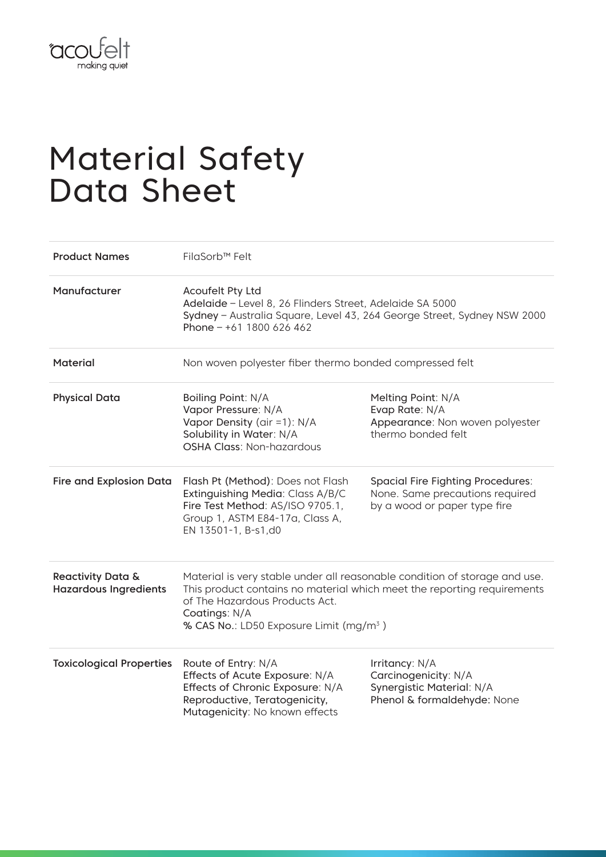

## Material Safety Data Sheet

| <b>Product Names</b>                                         | FilaSorb™ Felt                                                                                                                                                                                                                                                  |                                                                                                             |
|--------------------------------------------------------------|-----------------------------------------------------------------------------------------------------------------------------------------------------------------------------------------------------------------------------------------------------------------|-------------------------------------------------------------------------------------------------------------|
| Manufacturer                                                 | Acoufelt Pty Ltd<br>Adelaide - Level 8, 26 Flinders Street, Adelaide SA 5000<br>Sydney - Australia Square, Level 43, 264 George Street, Sydney NSW 2000<br>Phone $- +61$ 1800 626 462                                                                           |                                                                                                             |
| <b>Material</b>                                              | Non woven polyester fiber thermo bonded compressed felt                                                                                                                                                                                                         |                                                                                                             |
| <b>Physical Data</b>                                         | Boiling Point: N/A<br>Vapor Pressure: N/A<br>Vapor Density (air =1): N/A<br>Solubility in Water: N/A<br><b>OSHA Class: Non-hazardous</b>                                                                                                                        | Melting Point: N/A<br>Evap Rate: N/A<br>Appearance: Non woven polyester<br>thermo bonded felt               |
| <b>Fire and Explosion Data</b>                               | Flash Pt (Method): Does not Flash<br>Extinguishing Media: Class A/B/C<br>Fire Test Method: AS/ISO 9705.1,<br>Group 1, ASTM E84-17a, Class A,<br>EN 13501-1, B-s1,d0                                                                                             | <b>Spacial Fire Fighting Procedures:</b><br>None. Same precautions required<br>by a wood or paper type fire |
| <b>Reactivity Data &amp;</b><br><b>Hazardous Ingredients</b> | Material is very stable under all reasonable condition of storage and use.<br>This product contains no material which meet the reporting requirements<br>of The Hazardous Products Act.<br>Coatings: N/A<br>% CAS No.: LD50 Exposure Limit (mg/m <sup>3</sup> ) |                                                                                                             |
| <b>Toxicological Properties</b>                              | Route of Entry: N/A<br>Effects of Acute Exposure: N/A<br>Effects of Chronic Exposure: N/A<br>Reproductive, Teratogenicity,<br>Mutagenicity: No known effects                                                                                                    | Irritancy: N/A<br>Carcinogenicity: N/A<br>Synergistic Material: N/A<br>Phenol & formaldehyde: None          |